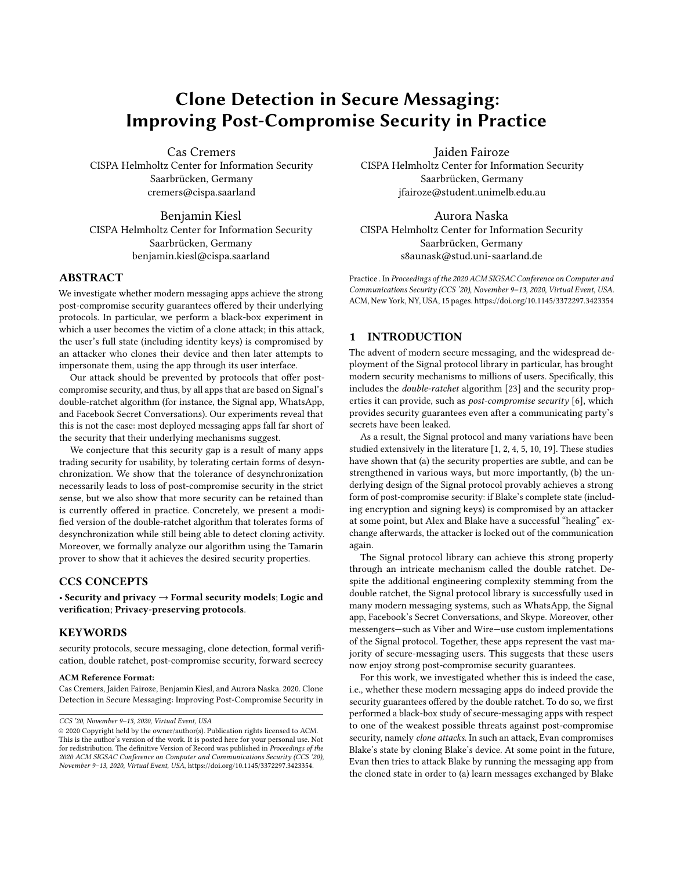# Clone Detection in Secure Messaging: Improving Post-Compromise Security in Practice

Cas Cremers CISPA Helmholtz Center for Information Security Saarbrücken, Germany cremers@cispa.saarland

Benjamin Kiesl CISPA Helmholtz Center for Information Security Saarbrücken, Germany benjamin.kiesl@cispa.saarland

## ABSTRACT

We investigate whether modern messaging apps achieve the strong post-compromise security guarantees offered by their underlying protocols. In particular, we perform a black-box experiment in which a user becomes the victim of a clone attack; in this attack, the user's full state (including identity keys) is compromised by an attacker who clones their device and then later attempts to impersonate them, using the app through its user interface.

Our attack should be prevented by protocols that offer postcompromise security, and thus, by all apps that are based on Signal's double-ratchet algorithm (for instance, the Signal app, WhatsApp, and Facebook Secret Conversations). Our experiments reveal that this is not the case: most deployed messaging apps fall far short of the security that their underlying mechanisms suggest.

We conjecture that this security gap is a result of many apps trading security for usability, by tolerating certain forms of desynchronization. We show that the tolerance of desynchronization necessarily leads to loss of post-compromise security in the strict sense, but we also show that more security can be retained than is currently offered in practice. Concretely, we present a modified version of the double-ratchet algorithm that tolerates forms of desynchronization while still being able to detect cloning activity. Moreover, we formally analyze our algorithm using the Tamarin prover to show that it achieves the desired security properties.

#### CCS CONCEPTS

• Security and privacy  $\rightarrow$  Formal security models; Logic and verification; Privacy-preserving protocols.

## **KEYWORDS**

security protocols, secure messaging, clone detection, formal verification, double ratchet, post-compromise security, forward secrecy

#### ACM Reference Format:

Cas Cremers, Jaiden Fairoze, Benjamin Kiesl, and Aurora Naska. 2020. Clone Detection in Secure Messaging: Improving Post-Compromise Security in

Jaiden Fairoze CISPA Helmholtz Center for Information Security Saarbrücken, Germany jfairoze@student.unimelb.edu.au

Aurora Naska CISPA Helmholtz Center for Information Security Saarbrücken, Germany s8aunask@stud.uni-saarland.de

Practice . In Proceedings of the 2020 ACM SIGSAC Conference on Computer and Communications Security (CCS '20), November 9–13, 2020, Virtual Event, USA. ACM, New York, NY, USA, [15](#page-14-0) pages.<https://doi.org/10.1145/3372297.3423354>

## 1 INTRODUCTION

The advent of modern secure messaging, and the widespread deployment of the Signal protocol library in particular, has brought modern security mechanisms to millions of users. Specifically, this includes the double-ratchet algorithm [\[23\]](#page-12-0) and the security properties it can provide, such as post-compromise security [\[6\]](#page-12-1), which provides security guarantees even after a communicating party's secrets have been leaked.

As a result, the Signal protocol and many variations have been studied extensively in the literature [\[1,](#page-11-0) [2,](#page-11-1) [4,](#page-12-2) [5,](#page-12-3) [10,](#page-12-4) [19\]](#page-12-5). These studies have shown that (a) the security properties are subtle, and can be strengthened in various ways, but more importantly, (b) the underlying design of the Signal protocol provably achieves a strong form of post-compromise security: if Blake's complete state (including encryption and signing keys) is compromised by an attacker at some point, but Alex and Blake have a successful "healing" exchange afterwards, the attacker is locked out of the communication again.

The Signal protocol library can achieve this strong property through an intricate mechanism called the double ratchet. Despite the additional engineering complexity stemming from the double ratchet, the Signal protocol library is successfully used in many modern messaging systems, such as WhatsApp, the Signal app, Facebook's Secret Conversations, and Skype. Moreover, other messengers—such as Viber and Wire—use custom implementations of the Signal protocol. Together, these apps represent the vast majority of secure-messaging users. This suggests that these users now enjoy strong post-compromise security guarantees.

For this work, we investigated whether this is indeed the case, i.e., whether these modern messaging apps do indeed provide the security guarantees offered by the double ratchet. To do so, we first performed a black-box study of secure-messaging apps with respect to one of the weakest possible threats against post-compromise security, namely clone attacks. In such an attack, Evan compromises Blake's state by cloning Blake's device. At some point in the future, Evan then tries to attack Blake by running the messaging app from the cloned state in order to (a) learn messages exchanged by Blake

CCS '20, November 9–13, 2020, Virtual Event, USA

<sup>©</sup> 2020 Copyright held by the owner/author(s). Publication rights licensed to ACM. This is the author's version of the work. It is posted here for your personal use. Not for redistribution. The definitive Version of Record was published in Proceedings of the 2020 ACM SIGSAC Conference on Computer and Communications Security (CCS '20), November 9–13, 2020, Virtual Event, USA, [https://doi.org/10.1145/3372297.3423354.](https://doi.org/10.1145/3372297.3423354)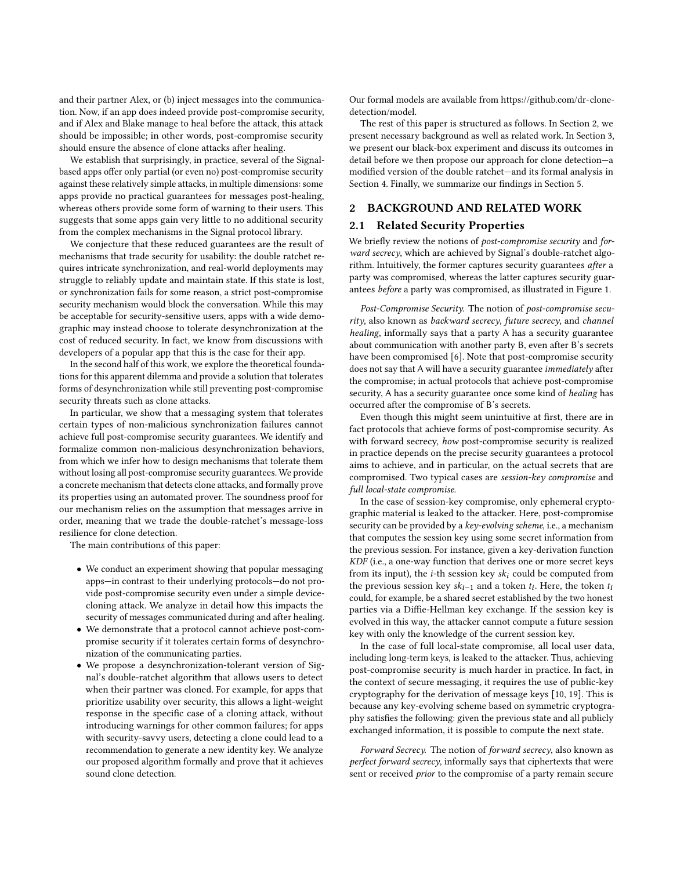and their partner Alex, or (b) inject messages into the communication. Now, if an app does indeed provide post-compromise security, and if Alex and Blake manage to heal before the attack, this attack should be impossible; in other words, post-compromise security should ensure the absence of clone attacks after healing.

We establish that surprisingly, in practice, several of the Signalbased apps offer only partial (or even no) post-compromise security against these relatively simple attacks, in multiple dimensions: some apps provide no practical guarantees for messages post-healing, whereas others provide some form of warning to their users. This suggests that some apps gain very little to no additional security from the complex mechanisms in the Signal protocol library.

We conjecture that these reduced guarantees are the result of mechanisms that trade security for usability: the double ratchet requires intricate synchronization, and real-world deployments may struggle to reliably update and maintain state. If this state is lost, or synchronization fails for some reason, a strict post-compromise security mechanism would block the conversation. While this may be acceptable for security-sensitive users, apps with a wide demographic may instead choose to tolerate desynchronization at the cost of reduced security. In fact, we know from discussions with developers of a popular app that this is the case for their app.

In the second half of this work, we explore the theoretical foundations for this apparent dilemma and provide a solution that tolerates forms of desynchronization while still preventing post-compromise security threats such as clone attacks.

In particular, we show that a messaging system that tolerates certain types of non-malicious synchronization failures cannot achieve full post-compromise security guarantees. We identify and formalize common non-malicious desynchronization behaviors, from which we infer how to design mechanisms that tolerate them without losing all post-compromise security guarantees. We provide a concrete mechanism that detects clone attacks, and formally prove its properties using an automated prover. The soundness proof for our mechanism relies on the assumption that messages arrive in order, meaning that we trade the double-ratchet's message-loss resilience for clone detection.

The main contributions of this paper:

- We conduct an experiment showing that popular messaging apps—in contrast to their underlying protocols—do not provide post-compromise security even under a simple devicecloning attack. We analyze in detail how this impacts the security of messages communicated during and after healing.
- We demonstrate that a protocol cannot achieve post-compromise security if it tolerates certain forms of desynchronization of the communicating parties.
- We propose a desynchronization-tolerant version of Signal's double-ratchet algorithm that allows users to detect when their partner was cloned. For example, for apps that prioritize usability over security, this allows a light-weight response in the specific case of a cloning attack, without introducing warnings for other common failures; for apps with security-savvy users, detecting a clone could lead to a recommendation to generate a new identity key. We analyze our proposed algorithm formally and prove that it achieves sound clone detection.

Our formal models are available from [https://github.com/dr-clone](https://github.com/dr-clone-detection/model)[detection/model.](https://github.com/dr-clone-detection/model)

The rest of this paper is structured as follows. In Section [2,](#page-1-0) we present necessary background as well as related work. In Section [3,](#page-4-0) we present our black-box experiment and discuss its outcomes in detail before we then propose our approach for clone detection—a modified version of the double ratchet—and its formal analysis in Section [4.](#page-7-0) Finally, we summarize our findings in Section [5.](#page-11-2)

## <span id="page-1-0"></span>2 BACKGROUND AND RELATED WORK

### 2.1 Related Security Properties

We briefly review the notions of *post-compromise security* and *for*ward secrecy, which are achieved by Signal's double-ratchet algorithm. Intuitively, the former captures security guarantees after a party was compromised, whereas the latter captures security guarantees before a party was compromised, as illustrated in Figure [1.](#page-2-0)

Post-Compromise Security. The notion of post-compromise security, also known as backward secrecy, future secrecy, and channel healing, informally says that a party A has a security guarantee about communication with another party B, even after B's secrets have been compromised [\[6\]](#page-12-1). Note that post-compromise security does not say that A will have a security guarantee immediately after the compromise; in actual protocols that achieve post-compromise security, A has a security guarantee once some kind of healing has occurred after the compromise of B's secrets.

Even though this might seem unintuitive at first, there are in fact protocols that achieve forms of post-compromise security. As with forward secrecy, how post-compromise security is realized in practice depends on the precise security guarantees a protocol aims to achieve, and in particular, on the actual secrets that are compromised. Two typical cases are session-key compromise and full local-state compromise.

In the case of session-key compromise, only ephemeral cryptographic material is leaked to the attacker. Here, post-compromise security can be provided by a key-evolving scheme, i.e., a mechanism that computes the session key using some secret information from the previous session. For instance, given a key-derivation function KDF (i.e., a one-way function that derives one or more secret keys from its input), the *i*-th session key  $sk_i$  could be computed from the previous session key  $sk_{i-1}$  and a token  $t_i$ . Here, the token  $t_i$ could, for example, be a shared secret established by the two honest parties via a Diffie-Hellman key exchange. If the session key is evolved in this way, the attacker cannot compute a future session key with only the knowledge of the current session key.

In the case of full local-state compromise, all local user data, including long-term keys, is leaked to the attacker. Thus, achieving post-compromise security is much harder in practice. In fact, in the context of secure messaging, it requires the use of public-key cryptography for the derivation of message keys [\[10,](#page-12-4) [19\]](#page-12-5). This is because any key-evolving scheme based on symmetric cryptography satisfies the following: given the previous state and all publicly exchanged information, it is possible to compute the next state.

Forward Secrecy. The notion of forward secrecy, also known as perfect forward secrecy, informally says that ciphertexts that were sent or received prior to the compromise of a party remain secure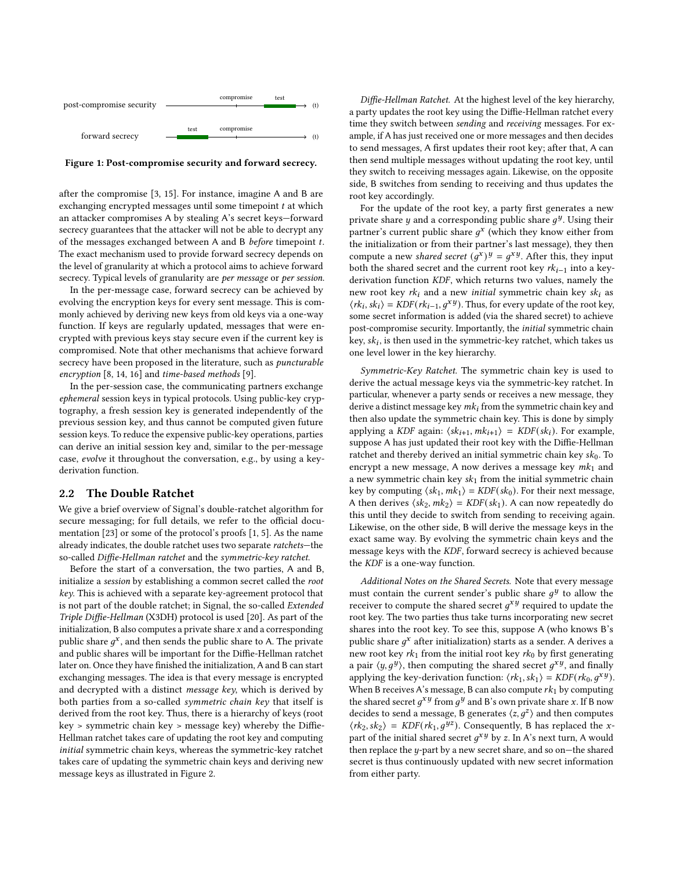<span id="page-2-0"></span>

Figure 1: Post-compromise security and forward secrecy.

after the compromise [\[3,](#page-12-6) [15\]](#page-12-7). For instance, imagine A and B are exchanging encrypted messages until some timepoint  $t$  at which an attacker compromises A by stealing A's secret keys—forward secrecy guarantees that the attacker will not be able to decrypt any of the messages exchanged between  $A$  and  $B$  *before* timepoint  $t$ . The exact mechanism used to provide forward secrecy depends on the level of granularity at which a protocol aims to achieve forward secrecy. Typical levels of granularity are per message or per session.

In the per-message case, forward secrecy can be achieved by evolving the encryption keys for every sent message. This is commonly achieved by deriving new keys from old keys via a one-way function. If keys are regularly updated, messages that were encrypted with previous keys stay secure even if the current key is compromised. Note that other mechanisms that achieve forward secrecy have been proposed in the literature, such as puncturable encryption [\[8,](#page-12-8) [14,](#page-12-9) [16\]](#page-12-10) and time-based methods [\[9\]](#page-12-11).

In the per-session case, the communicating partners exchange ephemeral session keys in typical protocols. Using public-key cryptography, a fresh session key is generated independently of the previous session key, and thus cannot be computed given future session keys. To reduce the expensive public-key operations, parties can derive an initial session key and, similar to the per-message case, evolve it throughout the conversation, e.g., by using a keyderivation function.

#### <span id="page-2-1"></span>2.2 The Double Ratchet

We give a brief overview of Signal's double-ratchet algorithm for secure messaging; for full details, we refer to the official documentation [\[23\]](#page-12-0) or some of the protocol's proofs [\[1,](#page-11-0) [5\]](#page-12-3). As the name already indicates, the double ratchet uses two separate ratchets—the so-called Diffie-Hellman ratchet and the symmetric-key ratchet.

Before the start of a conversation, the two parties, A and B, initialize a session by establishing a common secret called the root key. This is achieved with a separate key-agreement protocol that is not part of the double ratchet; in Signal, the so-called Extended Triple Diffie-Hellman (X3DH) protocol is used [\[20\]](#page-12-12). As part of the initialization,  $B$  also computes a private share  $x$  and a corresponding public share  $g^x$ , and then sends the public share to A. The private and public shares will be important for the Diffie-Hellman ratchet later on. Once they have finished the initialization, A and B can start exchanging messages. The idea is that every message is encrypted and decrypted with a distinct message key, which is derived by both parties from a so-called symmetric chain key that itself is derived from the root key. Thus, there is a hierarchy of keys (root key > symmetric chain key > message key) whereby the Diffie-Hellman ratchet takes care of updating the root key and computing initial symmetric chain keys, whereas the symmetric-key ratchet takes care of updating the symmetric chain keys and deriving new message keys as illustrated in Figure [2.](#page-3-0)

Diffie-Hellman Ratchet. At the highest level of the key hierarchy, a party updates the root key using the Diffie-Hellman ratchet every time they switch between sending and receiving messages. For example, if A has just received one or more messages and then decides to send messages, A first updates their root key; after that, A can then send multiple messages without updating the root key, until they switch to receiving messages again. Likewise, on the opposite side, B switches from sending to receiving and thus updates the root key accordingly.

For the update of the root key, a party first generates a new private share y and a corresponding public share  $g^y$ . Using their partner's current public share  $g^x$  (which they know either from the initialization or from their partner's last message), they then compute a new *shared secret*  $(g^x)^y = g^{xy}$ . After this, they input both the shared secret and the current root key  $rk_{i-1}$  into a keyderivation function KDF, which returns two values, namely the new root key  $rk_i$  and a new *initial* symmetric chain key  $sk_i$  as  $\langle r k_i, s k_i \rangle = KDF(r k_{i-1}, g^{xy})$ . Thus, for every update of the root key, some secret information is added (via the shared secret) to achieve post-compromise security. Importantly, the initial symmetric chain key,  $sk_i$ , is then used in the symmetric-key ratchet, which takes us one level lower in the key hierarchy.

Symmetric-Key Ratchet. The symmetric chain key is used to derive the actual message keys via the symmetric-key ratchet. In particular, whenever a party sends or receives a new message, they derive a distinct message key  $mk_i$  from the symmetric chain key and then also update the symmetric chain key. This is done by simply applying a KDF again:  $\langle sk_{i+1}, mk_{i+1} \rangle = KDF(sk_i)$ . For example, suppose A has just updated their root key with the Diffie-Hellman ratchet and thereby derived an initial symmetric chain key  $sk_0$ . To encrypt a new message, A now derives a message key  $mk_1$  and a new symmetric chain key  $sk_1$  from the initial symmetric chain key by computing  $\langle sk_1, mk_1 \rangle = KDF(sk_0)$ . For their next message, A then derives  $\langle sk_2, mk_2 \rangle = KDF(sk_1)$ . A can now repeatedly do this until they decide to switch from sending to receiving again. Likewise, on the other side, B will derive the message keys in the exact same way. By evolving the symmetric chain keys and the message keys with the KDF, forward secrecy is achieved because the KDF is a one-way function.

Additional Notes on the Shared Secrets. Note that every message must contain the current sender's public share  $g^y$  to allow the receiver to compute the shared secret  $g^{xy}$  required to update the root key. The two parties thus take turns incorporating new secret shares into the root key. To see this, suppose A (who knows B's public share  $g^x$  after initialization) starts as a sender. A derives a new root key  $rk_1$  from the initial root key  $rk_0$  by first generating a pair  $\langle y, g^y \rangle$ , then computing the shared secret  $g^{xy}$ , and finally applying the key-derivation function:  $\langle rk_1, sk_1 \rangle = KDF(rk_0, q^{xy})$ . When B receives A's message, B can also compute  $rk_1$  by computing the shared secret  $g^{xy}$  from  $g^{y}$  and B's own private share x. If B now decides to send a message, B generates  $\langle z, g^z \rangle$  and then computes  $\langle r k_2, s k_2 \rangle$  =  $KDF(r k_1, g^{yz})$ . Consequently, B has replaced the xpart of the initial shared secret  $g^{xy}$  by z. In A's next turn, A would then replace the  $y$ -part by a new secret share, and so on-the shared secret is thus continuously updated with new secret information from either party.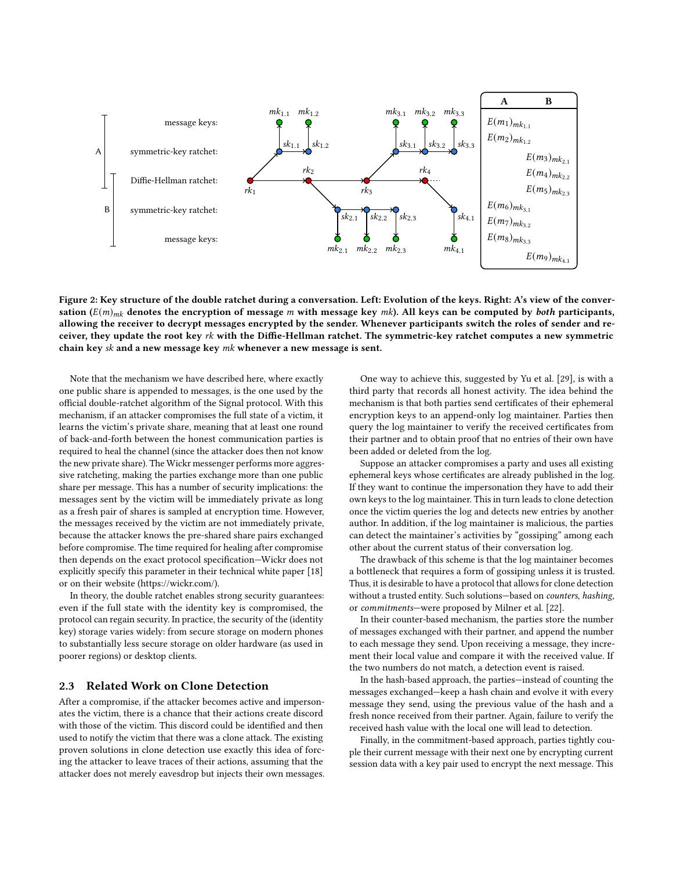<span id="page-3-0"></span>

Figure 2: Key structure of the double ratchet during a conversation. Left: Evolution of the keys. Right: A's view of the conversation ( $E(m)_{mk}$  denotes the encryption of message m with message key mk). All keys can be computed by both participants, allowing the receiver to decrypt messages encrypted by the sender. Whenever participants switch the roles of sender and receiver, they update the root key  $rk$  with the Diffie-Hellman ratchet. The symmetric-key ratchet computes a new symmetric chain key sk and a new message key mk whenever a new message is sent.

Note that the mechanism we have described here, where exactly one public share is appended to messages, is the one used by the official double-ratchet algorithm of the Signal protocol. With this mechanism, if an attacker compromises the full state of a victim, it learns the victim's private share, meaning that at least one round of back-and-forth between the honest communication parties is required to heal the channel (since the attacker does then not know the new private share). The Wickr messenger performs more aggressive ratcheting, making the parties exchange more than one public share per message. This has a number of security implications: the messages sent by the victim will be immediately private as long as a fresh pair of shares is sampled at encryption time. However, the messages received by the victim are not immediately private, because the attacker knows the pre-shared share pairs exchanged before compromise. The time required for healing after compromise then depends on the exact protocol specification—Wickr does not explicitly specify this parameter in their technical white paper [\[18\]](#page-12-13) or on their website [\(https://wickr.com/\)](https://wickr.com/).

In theory, the double ratchet enables strong security guarantees: even if the full state with the identity key is compromised, the protocol can regain security. In practice, the security of the (identity key) storage varies widely: from secure storage on modern phones to substantially less secure storage on older hardware (as used in poorer regions) or desktop clients.

## <span id="page-3-1"></span>2.3 Related Work on Clone Detection

After a compromise, if the attacker becomes active and impersonates the victim, there is a chance that their actions create discord with those of the victim. This discord could be identified and then used to notify the victim that there was a clone attack. The existing proven solutions in clone detection use exactly this idea of forcing the attacker to leave traces of their actions, assuming that the attacker does not merely eavesdrop but injects their own messages.

One way to achieve this, suggested by Yu et al. [\[29\]](#page-12-14), is with a third party that records all honest activity. The idea behind the mechanism is that both parties send certificates of their ephemeral encryption keys to an append-only log maintainer. Parties then query the log maintainer to verify the received certificates from their partner and to obtain proof that no entries of their own have been added or deleted from the log.

Suppose an attacker compromises a party and uses all existing ephemeral keys whose certificates are already published in the log. If they want to continue the impersonation they have to add their own keys to the log maintainer. This in turn leads to clone detection once the victim queries the log and detects new entries by another author. In addition, if the log maintainer is malicious, the parties can detect the maintainer's activities by "gossiping" among each other about the current status of their conversation log.

The drawback of this scheme is that the log maintainer becomes a bottleneck that requires a form of gossiping unless it is trusted. Thus, it is desirable to have a protocol that allows for clone detection without a trusted entity. Such solutions—based on counters, hashing, or commitments—were proposed by Milner et al. [\[22\]](#page-12-15).

In their counter-based mechanism, the parties store the number of messages exchanged with their partner, and append the number to each message they send. Upon receiving a message, they increment their local value and compare it with the received value. If the two numbers do not match, a detection event is raised.

In the hash-based approach, the parties—instead of counting the messages exchanged—keep a hash chain and evolve it with every message they send, using the previous value of the hash and a fresh nonce received from their partner. Again, failure to verify the received hash value with the local one will lead to detection.

Finally, in the commitment-based approach, parties tightly couple their current message with their next one by encrypting current session data with a key pair used to encrypt the next message. This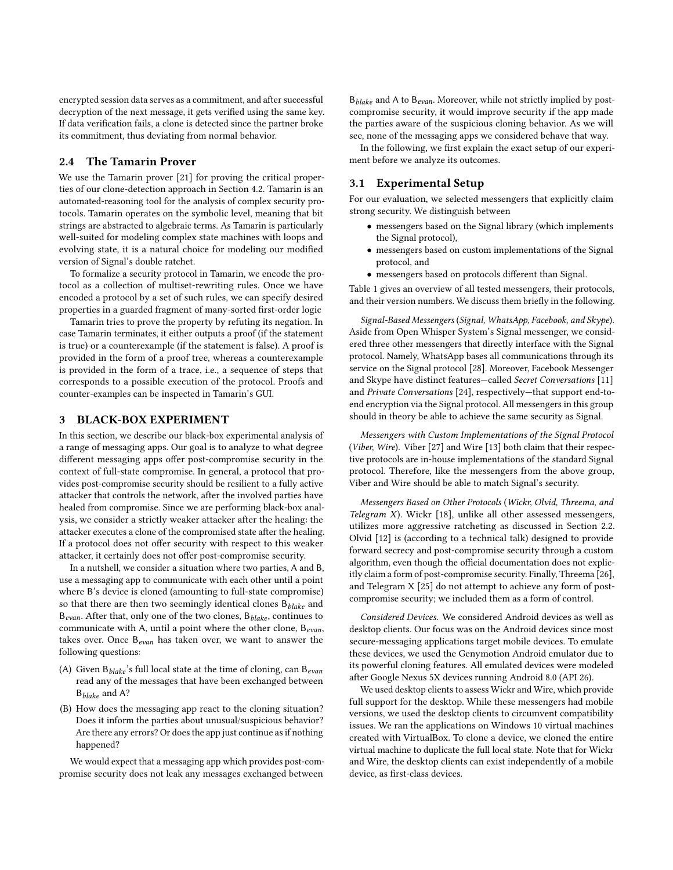encrypted session data serves as a commitment, and after successful decryption of the next message, it gets verified using the same key. If data verification fails, a clone is detected since the partner broke its commitment, thus deviating from normal behavior.

## 2.4 The Tamarin Prover

We use the Tamarin prover [\[21\]](#page-12-16) for proving the critical properties of our clone-detection approach in Section [4.2.](#page-10-0) Tamarin is an automated-reasoning tool for the analysis of complex security protocols. Tamarin operates on the symbolic level, meaning that bit strings are abstracted to algebraic terms. As Tamarin is particularly well-suited for modeling complex state machines with loops and evolving state, it is a natural choice for modeling our modified version of Signal's double ratchet.

To formalize a security protocol in Tamarin, we encode the protocol as a collection of multiset-rewriting rules. Once we have encoded a protocol by a set of such rules, we can specify desired properties in a guarded fragment of many-sorted first-order logic

Tamarin tries to prove the property by refuting its negation. In case Tamarin terminates, it either outputs a proof (if the statement is true) or a counterexample (if the statement is false). A proof is provided in the form of a proof tree, whereas a counterexample is provided in the form of a trace, i.e., a sequence of steps that corresponds to a possible execution of the protocol. Proofs and counter-examples can be inspected in Tamarin's GUI.

## <span id="page-4-0"></span>3 BLACK-BOX EXPERIMENT

In this section, we describe our black-box experimental analysis of a range of messaging apps. Our goal is to analyze to what degree different messaging apps offer post-compromise security in the context of full-state compromise. In general, a protocol that provides post-compromise security should be resilient to a fully active attacker that controls the network, after the involved parties have healed from compromise. Since we are performing black-box analysis, we consider a strictly weaker attacker after the healing: the attacker executes a clone of the compromised state after the healing. If a protocol does not offer security with respect to this weaker attacker, it certainly does not offer post-compromise security.

In a nutshell, we consider a situation where two parties, A and B, use a messaging app to communicate with each other until a point where B's device is cloned (amounting to full-state compromise) so that there are then two seemingly identical clones  $B_{black}$  and  $B_{evan}$ . After that, only one of the two clones,  $B_{black}$ , continues to communicate with A, until a point where the other clone,  $B_{evan}$ , takes over. Once  $B_{evan}$  has taken over, we want to answer the following questions:

- (A) Given  $B_{black}$ 's full local state at the time of cloning, can  $B_{evan}$ read any of the messages that have been exchanged between  $B_{black}$  and A?
- (B) How does the messaging app react to the cloning situation? Does it inform the parties about unusual/suspicious behavior? Are there any errors? Or does the app just continue as if nothing happened?

We would expect that a messaging app which provides post-compromise security does not leak any messages exchanged between

 $B_{\text{black}}$  and A to  $B_{\text{evan}}$ . Moreover, while not strictly implied by postcompromise security, it would improve security if the app made the parties aware of the suspicious cloning behavior. As we will see, none of the messaging apps we considered behave that way.

In the following, we first explain the exact setup of our experiment before we analyze its outcomes.

## 3.1 Experimental Setup

For our evaluation, we selected messengers that explicitly claim strong security. We distinguish between

- messengers based on the Signal library (which implements the Signal protocol),
- messengers based on custom implementations of the Signal protocol, and
- messengers based on protocols different than Signal.

Table [1](#page-5-0) gives an overview of all tested messengers, their protocols, and their version numbers. We discuss them briefly in the following.

Signal-Based Messengers (Signal, WhatsApp, Facebook, and Skype). Aside from Open Whisper System's Signal messenger, we considered three other messengers that directly interface with the Signal protocol. Namely, WhatsApp bases all communications through its service on the Signal protocol [\[28\]](#page-12-17). Moreover, Facebook Messenger and Skype have distinct features—called Secret Conversations [\[11\]](#page-12-18) and Private Conversations [\[24\]](#page-12-19), respectively—that support end-toend encryption via the Signal protocol. All messengers in this group should in theory be able to achieve the same security as Signal.

Messengers with Custom Implementations of the Signal Protocol (Viber, Wire). Viber [\[27\]](#page-12-20) and Wire [\[13\]](#page-12-21) both claim that their respective protocols are in-house implementations of the standard Signal protocol. Therefore, like the messengers from the above group, Viber and Wire should be able to match Signal's security.

Messengers Based on Other Protocols (Wickr, Olvid, Threema, and Telegram X). Wickr [\[18\]](#page-12-13), unlike all other assessed messengers, utilizes more aggressive ratcheting as discussed in Section [2.2.](#page-2-1) Olvid [\[12\]](#page-12-22) is (according to a technical talk) designed to provide forward secrecy and post-compromise security through a custom algorithm, even though the official documentation does not explicitly claim a form of post-compromise security. Finally, Threema [\[26\]](#page-12-23), and Telegram X [\[25\]](#page-12-24) do not attempt to achieve any form of postcompromise security; we included them as a form of control.

Considered Devices. We considered Android devices as well as desktop clients. Our focus was on the Android devices since most secure-messaging applications target mobile devices. To emulate these devices, we used the Genymotion Android emulator due to its powerful cloning features. All emulated devices were modeled after Google Nexus 5X devices running Android 8.0 (API 26).

We used desktop clients to assess Wickr and Wire, which provide full support for the desktop. While these messengers had mobile versions, we used the desktop clients to circumvent compatibility issues. We ran the applications on Windows 10 virtual machines created with VirtualBox. To clone a device, we cloned the entire virtual machine to duplicate the full local state. Note that for Wickr and Wire, the desktop clients can exist independently of a mobile device, as first-class devices.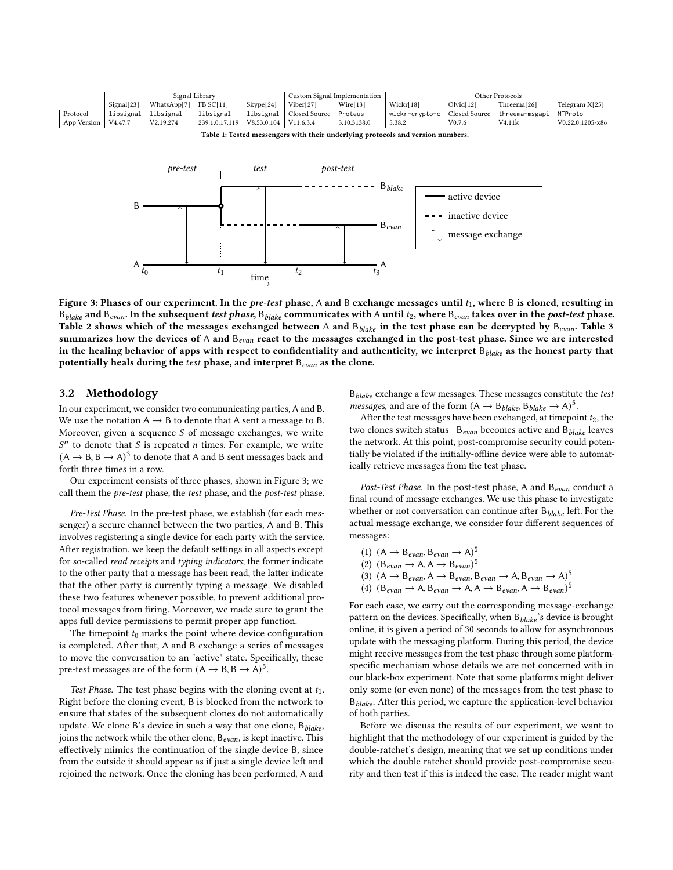<span id="page-5-0"></span>

|             | Signal Library      |             |                |             | Custom Signal Implementation |             | Other Protocols- |                       |                |                      |
|-------------|---------------------|-------------|----------------|-------------|------------------------------|-------------|------------------|-----------------------|----------------|----------------------|
|             | Signal[23]          | WhatsApp[7] | FB SC[11]      | Skype[24]   | Viber[27]                    | Wire[13]    | Wickr[18]        | Olvid <sup>[12]</sup> | Threema[26]    | Telegram X[25]       |
| Protocol    | libsignal           | libsignal   | libsignal      | libsignal   | Closed Source                | Proteus     | wickr-crvpto-c   | Closed Source         | threema-msgapi | MTProto              |
| App Version | V <sub>4.47.7</sub> | V2.19.274   | 239.1.0.17.119 | V8.53.0.104 | V11.6.3.4                    | 3.10.3138.0 | 5.38.2           | V0.7.6                | V4.11k         | $V0.22.0.1205 - x86$ |

Table 1: Tested messengers with their underlying protocols and version numbers.

<span id="page-5-1"></span>

Figure 3: Phases of our experiment. In the pre-test phase, A and B exchange messages until  $t_1$ , where B is cloned, resulting in  $B_{black}$  and  $B_{evan}$ . In the subsequent test phase,  $B_{black}$  communicates with A until  $t_2$ , where  $B_{evan}$  takes over in the post-test phase. Table [2](#page-6-0) shows which of the messages exchanged between A and  $B_{black}$  in the test phase can be decrypted by  $B_{evan}$ . Table [3](#page-7-1) summarizes how the devices of A and  $B_{evan}$  react to the messages exchanged in the post-test phase. Since we are interested in the healing behavior of apps with respect to confidentiality and authenticity, we interpret  $B_{black}$  as the honest party that potentially heals during the test phase, and interpret  $B_{evan}$  as the clone.

## 3.2 Methodology

In our experiment, we consider two communicating parties, A and B. We use the notation  $A \rightarrow B$  to denote that A sent a message to B. Moreover, given a sequence  $S$  of message exchanges, we write  $S<sup>n</sup>$  to denote that S is repeated *n* times. For example, we write  $(A \rightarrow B, B \rightarrow A)^3$  to denote that A and B sent messages back and forth three times in a row.

Our experiment consists of three phases, shown in Figure [3;](#page-5-1) we call them the pre-test phase, the test phase, and the post-test phase.

Pre-Test Phase. In the pre-test phase, we establish (for each messenger) a secure channel between the two parties, A and B. This involves registering a single device for each party with the service. After registration, we keep the default settings in all aspects except for so-called read receipts and typing indicators; the former indicate to the other party that a message has been read, the latter indicate that the other party is currently typing a message. We disabled these two features whenever possible, to prevent additional protocol messages from firing. Moreover, we made sure to grant the apps full device permissions to permit proper app function.

The timepoint  $t_0$  marks the point where device configuration is completed. After that, A and B exchange a series of messages to move the conversation to an "active" state. Specifically, these pre-test messages are of the form  $(A \rightarrow B, B \rightarrow A)^5$ .

Test Phase. The test phase begins with the cloning event at  $t_1$ . Right before the cloning event, B is blocked from the network to ensure that states of the subsequent clones do not automatically update. We clone B's device in such a way that one clone,  $B_{\text{black}}$ , joins the network while the other clone,  $B_{evan}$ , is kept inactive. This effectively mimics the continuation of the single device B, since from the outside it should appear as if just a single device left and rejoined the network. Once the cloning has been performed, A and

 $B_{black}$  exchange a few messages. These messages constitute the test *messages*, and are of the form  $(A \rightarrow B_{black}, B_{black} \rightarrow A)^5$ .

After the test messages have been exchanged, at timepoint  $t_2$ , the two clones switch status– $B_{evan}$  becomes active and  $B_{black}$  leaves the network. At this point, post-compromise security could potentially be violated if the initially-offline device were able to automatically retrieve messages from the test phase.

Post-Test Phase. In the post-test phase, A and  $B_{evan}$  conduct a final round of message exchanges. We use this phase to investigate whether or not conversation can continue after  $B_{black}$  left. For the actual message exchange, we consider four different sequences of messages:

(1) 
$$
(A \rightarrow B_{evan}, B_{evan} \rightarrow A)^5
$$

$$
(2) (B_{evan} \to A, A \to B_{evan})^5
$$

- (3)  $(A \rightarrow B_{evan}, A \rightarrow B_{evan}, B_{evan} \rightarrow A, B_{evan} \rightarrow A)^5$
- (4)  $(B_{evan} \rightarrow A, B_{evan} \rightarrow A, A \rightarrow B_{evan}, A \rightarrow B_{evan})^5$

For each case, we carry out the corresponding message-exchange pattern on the devices. Specifically, when  $B_{black}$ 's device is brought online, it is given a period of 30 seconds to allow for asynchronous update with the messaging platform. During this period, the device might receive messages from the test phase through some platformspecific mechanism whose details we are not concerned with in our black-box experiment. Note that some platforms might deliver only some (or even none) of the messages from the test phase to  $B_{\text{black}}$ . After this period, we capture the application-level behavior of both parties.

Before we discuss the results of our experiment, we want to highlight that the methodology of our experiment is guided by the double-ratchet's design, meaning that we set up conditions under which the double ratchet should provide post-compromise security and then test if this is indeed the case. The reader might want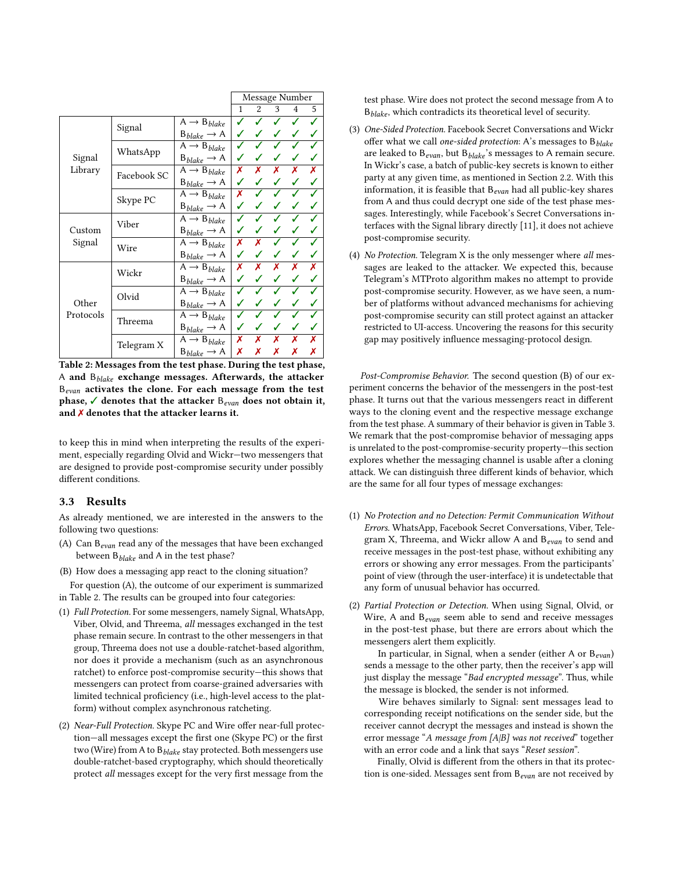<span id="page-6-0"></span>

|           |               |                                             | Message Number |                |   |                |   |
|-----------|---------------|---------------------------------------------|----------------|----------------|---|----------------|---|
|           |               |                                             | 1              | $\overline{2}$ | 3 | $\overline{4}$ | 5 |
|           |               | $\bar{A} \rightarrow B_{black}$             |                |                |   |                |   |
|           | Signal        | $B_{blacke} \rightarrow A$                  |                |                |   |                |   |
|           | WhatsApp      | $\overline{A} \rightarrow B_{black}$        |                |                |   |                |   |
| Signal    |               | $B_{blacke} \rightarrow A$                  |                |                |   |                |   |
| Library   | Facebook SC   | $A \rightarrow B_{blacke}$                  | Х              | x              | x | x              | x |
|           |               | $B_{blacke} \rightarrow A$                  | ✓              |                |   |                |   |
|           | Skype PC      | $\overline{A} \rightarrow B_{\text{black}}$ | х              |                |   |                |   |
|           |               | $B_{blacke} \rightarrow A$                  |                |                |   |                |   |
|           | Viber<br>Wire | $A \rightarrow B_{blacke}$                  |                |                |   |                |   |
| Custom    |               | $B_{black} \rightarrow A$                   |                |                |   |                |   |
| Signal    |               | $\overline{A} \rightarrow B_{black}$        | Х              | x              |   |                |   |
|           |               | $B_{blacke} \rightarrow A$                  | ✓              |                |   |                |   |
|           | Wickr         | $\overline{A} \rightarrow B_{black}$        | x              | x              | x | х              | х |
|           |               | $B_{blacke} \rightarrow A$                  |                |                |   |                |   |
|           | Olvid         | $A \rightarrow B_{blacke}$                  |                |                |   |                |   |
| Other     |               | $B_{blacke} \rightarrow A$                  |                |                |   |                |   |
| Protocols | Threema       | $\overline{A} \rightarrow B_{black}$        |                |                |   |                |   |
|           |               | $B_{blacke} \rightarrow A$                  | ✓              |                |   |                |   |
|           | Telegram X    | $A \rightarrow B_{blacke}$                  | Х              | x              | x | х              | х |
|           |               | $B_{blacke} \rightarrow A$                  | Х              | х              | Х | Х              | х |

Table 2: Messages from the test phase. During the test phase, A and  $B_{black}$  exchange messages. Afterwards, the attacker  $B_{evan}$  activates the clone. For each message from the test phase,  $\checkmark$  denotes that the attacker  $B_{evan}$  does not obtain it, and  $\chi$  denotes that the attacker learns it.

to keep this in mind when interpreting the results of the experiment, especially regarding Olvid and Wickr—two messengers that are designed to provide post-compromise security under possibly different conditions.

## 3.3 Results

As already mentioned, we are interested in the answers to the following two questions:

- (A) Can  $B_{evan}$  read any of the messages that have been exchanged between  $B_{black}$  and A in the test phase?
- (B) How does a messaging app react to the cloning situation?

For question (A), the outcome of our experiment is summarized in Table [2.](#page-6-0) The results can be grouped into four categories:

- (1) Full Protection. For some messengers, namely Signal, WhatsApp, Viber, Olvid, and Threema, all messages exchanged in the test phase remain secure. In contrast to the other messengers in that group, Threema does not use a double-ratchet-based algorithm, nor does it provide a mechanism (such as an asynchronous ratchet) to enforce post-compromise security—this shows that messengers can protect from coarse-grained adversaries with limited technical proficiency (i.e., high-level access to the platform) without complex asynchronous ratcheting.
- (2) Near-Full Protection. Skype PC and Wire offer near-full protection—all messages except the first one (Skype PC) or the first two (Wire) from A to  $B_{black}$  stay protected. Both messengers use double-ratchet-based cryptography, which should theoretically protect all messages except for the very first message from the

test phase. Wire does not protect the second message from A to  $B_{black}$ , which contradicts its theoretical level of security.

- (3) One-Sided Protection. Facebook Secret Conversations and Wickr offer what we call one-sided protection: A's messages to  $B_{black}$ are leaked to  $B_{evan}$ , but  $B_{black}$ 's messages to A remain secure. In Wickr's case, a batch of public-key secrets is known to either party at any given time, as mentioned in Section [2.2.](#page-2-1) With this information, it is feasible that  $B_{evan}$  had all public-key shares from A and thus could decrypt one side of the test phase messages. Interestingly, while Facebook's Secret Conversations interfaces with the Signal library directly [\[11\]](#page-12-18), it does not achieve post-compromise security.
- (4) No Protection. Telegram X is the only messenger where all messages are leaked to the attacker. We expected this, because Telegram's MTProto algorithm makes no attempt to provide post-compromise security. However, as we have seen, a number of platforms without advanced mechanisms for achieving post-compromise security can still protect against an attacker restricted to UI-access. Uncovering the reasons for this security gap may positively influence messaging-protocol design.

Post-Compromise Behavior. The second question (B) of our experiment concerns the behavior of the messengers in the post-test phase. It turns out that the various messengers react in different ways to the cloning event and the respective message exchange from the test phase. A summary of their behavior is given in Table [3.](#page-7-1) We remark that the post-compromise behavior of messaging apps is unrelated to the post-compromise-security property—this section explores whether the messaging channel is usable after a cloning attack. We can distinguish three different kinds of behavior, which are the same for all four types of message exchanges:

- (1) No Protection and no Detection: Permit Communication Without Errors. WhatsApp, Facebook Secret Conversations, Viber, Telegram X, Threema, and Wickr allow A and  $B_{evan}$  to send and receive messages in the post-test phase, without exhibiting any errors or showing any error messages. From the participants' point of view (through the user-interface) it is undetectable that any form of unusual behavior has occurred.
- (2) Partial Protection or Detection. When using Signal, Olvid, or Wire, A and  $B_{evan}$  seem able to send and receive messages in the post-test phase, but there are errors about which the messengers alert them explicitly.

In particular, in Signal, when a sender (either A or  $B_{evan}$ ) sends a message to the other party, then the receiver's app will just display the message "Bad encrypted message". Thus, while the message is blocked, the sender is not informed.

Wire behaves similarly to Signal: sent messages lead to corresponding receipt notifications on the sender side, but the receiver cannot decrypt the messages and instead is shown the error message "A message from [A|B] was not received" together with an error code and a link that says "Reset session".

Finally, Olvid is different from the others in that its protection is one-sided. Messages sent from  $B_{evan}$  are not received by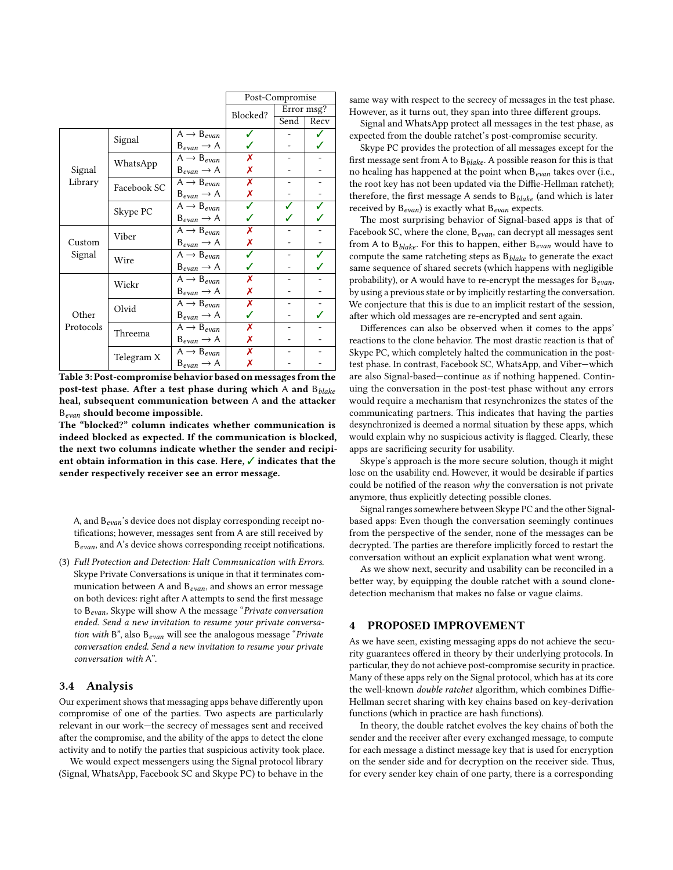<span id="page-7-1"></span>

|           |             |                                     | Post-Compromise |      |      |  |
|-----------|-------------|-------------------------------------|-----------------|------|------|--|
|           |             | Blocked?                            | Error msg?      |      |      |  |
|           |             |                                     |                 | Send | Recv |  |
|           |             | $A \rightarrow B_{evan}$            |                 |      |      |  |
|           | Signal      | $B_{evan} \rightarrow A$            |                 |      |      |  |
|           | WhatsApp    | $A \rightarrow B_{evan}$            | Х               |      |      |  |
| Signal    |             | $B_{evan} \rightarrow A$            | Х               |      |      |  |
| Library   | Facebook SC | $A \rightarrow B_{evan}$            | Х               |      |      |  |
|           |             | $B_{evan} \rightarrow A$            | Х               |      |      |  |
|           | Skype PC    | $A \rightarrow B_{evan}$            | ✓               |      |      |  |
|           |             | $B_{evan} \rightarrow A$            |                 |      |      |  |
|           | Viber       | $\overline{A} \rightarrow B_{evan}$ | Х               |      |      |  |
| Custom    |             | $B_{evan} \rightarrow A$            | Х               |      |      |  |
| Signal    | Wire        | $A \rightarrow B_{evan}$            | ✓               |      |      |  |
|           |             | $B_{evan} \rightarrow A$            |                 |      |      |  |
|           | Wickr       | $A \rightarrow B_{evan}$            | Х               |      |      |  |
|           |             | $B_{evan} \rightarrow A$            | Х               |      |      |  |
|           | Olvid       | $A \rightarrow B_{evan}$            | Х               |      |      |  |
| Other     |             | $B_{evan} \rightarrow A$            | ✓               |      |      |  |
| Protocols | Threema     | $A \rightarrow B_{evan}$            | Х               |      |      |  |
|           |             | $B_{evan} \rightarrow A$            | Х               |      |      |  |
|           | Telegram X  | $\overline{A} \rightarrow B_{evan}$ | Х               |      |      |  |
|           |             | $B_{evan} \rightarrow A$            | Х               |      |      |  |

Table 3: Post-compromise behavior based on messages from the post-test phase. After a test phase during which A and  $B_{black}$ heal, subsequent communication between A and the attacker  $\mathbb{B}_{evan}$  should become impossible.

The "blocked?" column indicates whether communication is indeed blocked as expected. If the communication is blocked, the next two columns indicate whether the sender and recipient obtain information in this case. Here, ✓ indicates that the sender respectively receiver see an error message.

A, and B<sub>evan</sub>'s device does not display corresponding receipt notifications; however, messages sent from A are still received by  $B_{evan}$ , and A's device shows corresponding receipt notifications.

(3) Full Protection and Detection: Halt Communication with Errors. Skype Private Conversations is unique in that it terminates communication between A and  $B_{evan}$ , and shows an error message on both devices: right after A attempts to send the first message to  $B_{evan}$ , Skype will show A the message "Private conversation ended. Send a new invitation to resume your private conversation with B", also  $B_{evan}$  will see the analogous message "Private" conversation ended. Send a new invitation to resume your private conversation with A".

#### 3.4 Analysis

Our experiment shows that messaging apps behave differently upon compromise of one of the parties. Two aspects are particularly relevant in our work—the secrecy of messages sent and received after the compromise, and the ability of the apps to detect the clone activity and to notify the parties that suspicious activity took place.

We would expect messengers using the Signal protocol library (Signal, WhatsApp, Facebook SC and Skype PC) to behave in the same way with respect to the secrecy of messages in the test phase. However, as it turns out, they span into three different groups.

Signal and WhatsApp protect all messages in the test phase, as expected from the double ratchet's post-compromise security.

Skype PC provides the protection of all messages except for the first message sent from A to  $B_{black}$ . A possible reason for this is that no healing has happened at the point when  $B_{evan}$  takes over (i.e., the root key has not been updated via the Diffie-Hellman ratchet); therefore, the first message A sends to  $B_{black}$  (and which is later received by  $B_{evan}$ ) is exactly what  $B_{evan}$  expects.

The most surprising behavior of Signal-based apps is that of Facebook SC, where the clone,  $B_{evan}$ , can decrypt all messages sent from A to  $B_{black}$ . For this to happen, either  $B_{evan}$  would have to compute the same ratcheting steps as  $B_{black}$  to generate the exact same sequence of shared secrets (which happens with negligible probability), or A would have to re-encrypt the messages for  $B_{evan}$ , by using a previous state or by implicitly restarting the conversation. We conjecture that this is due to an implicit restart of the session, after which old messages are re-encrypted and sent again.

Differences can also be observed when it comes to the apps' reactions to the clone behavior. The most drastic reaction is that of Skype PC, which completely halted the communication in the posttest phase. In contrast, Facebook SC, WhatsApp, and Viber—which are also Signal-based—continue as if nothing happened. Continuing the conversation in the post-test phase without any errors would require a mechanism that resynchronizes the states of the communicating partners. This indicates that having the parties desynchronized is deemed a normal situation by these apps, which would explain why no suspicious activity is flagged. Clearly, these apps are sacrificing security for usability.

Skype's approach is the more secure solution, though it might lose on the usability end. However, it would be desirable if parties could be notified of the reason why the conversation is not private anymore, thus explicitly detecting possible clones.

Signal ranges somewhere between Skype PC and the other Signalbased apps: Even though the conversation seemingly continues from the perspective of the sender, none of the messages can be decrypted. The parties are therefore implicitly forced to restart the conversation without an explicit explanation what went wrong.

As we show next, security and usability can be reconciled in a better way, by equipping the double ratchet with a sound clonedetection mechanism that makes no false or vague claims.

#### <span id="page-7-0"></span>4 PROPOSED IMPROVEMENT

As we have seen, existing messaging apps do not achieve the security guarantees offered in theory by their underlying protocols. In particular, they do not achieve post-compromise security in practice. Many of these apps rely on the Signal protocol, which has at its core the well-known double ratchet algorithm, which combines Diffie-Hellman secret sharing with key chains based on key-derivation functions (which in practice are hash functions).

In theory, the double ratchet evolves the key chains of both the sender and the receiver after every exchanged message, to compute for each message a distinct message key that is used for encryption on the sender side and for decryption on the receiver side. Thus, for every sender key chain of one party, there is a corresponding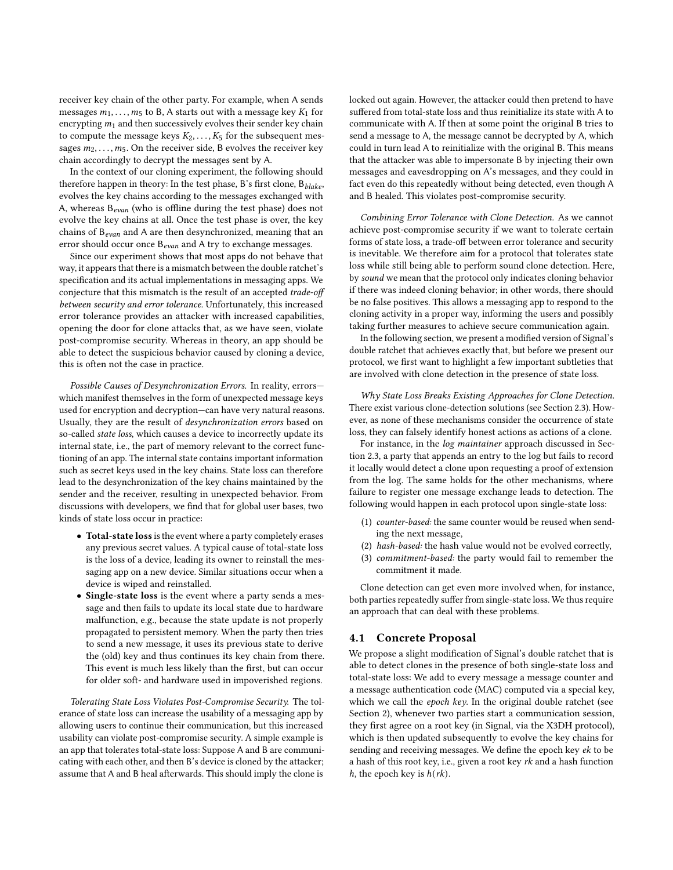receiver key chain of the other party. For example, when A sends messages  $m_1, \ldots, m_5$  to B, A starts out with a message key  $K_1$  for encrypting  $m_1$  and then successively evolves their sender key chain to compute the message keys  $K_2, \ldots, K_5$  for the subsequent messages  $m_2, \ldots, m_5$ . On the receiver side, B evolves the receiver key chain accordingly to decrypt the messages sent by A.

In the context of our cloning experiment, the following should therefore happen in theory: In the test phase, B's first clone,  $B_{black}$ , evolves the key chains according to the messages exchanged with A, whereas  $B_{evan}$  (who is offline during the test phase) does not evolve the key chains at all. Once the test phase is over, the key chains of  $B_{evan}$  and A are then desynchronized, meaning that an error should occur once  $B_{evan}$  and A try to exchange messages.

Since our experiment shows that most apps do not behave that way, it appears that there is a mismatch between the double ratchet's specification and its actual implementations in messaging apps. We conjecture that this mismatch is the result of an accepted trade-off between security and error tolerance. Unfortunately, this increased error tolerance provides an attacker with increased capabilities, opening the door for clone attacks that, as we have seen, violate post-compromise security. Whereas in theory, an app should be able to detect the suspicious behavior caused by cloning a device, this is often not the case in practice.

Possible Causes of Desynchronization Errors. In reality, errors which manifest themselves in the form of unexpected message keys used for encryption and decryption—can have very natural reasons. Usually, they are the result of desynchronization errors based on so-called state loss, which causes a device to incorrectly update its internal state, i.e., the part of memory relevant to the correct functioning of an app. The internal state contains important information such as secret keys used in the key chains. State loss can therefore lead to the desynchronization of the key chains maintained by the sender and the receiver, resulting in unexpected behavior. From discussions with developers, we find that for global user bases, two kinds of state loss occur in practice:

- Total-state loss is the event where a party completely erases any previous secret values. A typical cause of total-state loss is the loss of a device, leading its owner to reinstall the messaging app on a new device. Similar situations occur when a device is wiped and reinstalled.
- Single-state loss is the event where a party sends a message and then fails to update its local state due to hardware malfunction, e.g., because the state update is not properly propagated to persistent memory. When the party then tries to send a new message, it uses its previous state to derive the (old) key and thus continues its key chain from there. This event is much less likely than the first, but can occur for older soft- and hardware used in impoverished regions.

<span id="page-8-0"></span>Tolerating State Loss Violates Post-Compromise Security. The tolerance of state loss can increase the usability of a messaging app by allowing users to continue their communication, but this increased usability can violate post-compromise security. A simple example is an app that tolerates total-state loss: Suppose A and B are communicating with each other, and then B's device is cloned by the attacker; assume that A and B heal afterwards. This should imply the clone is

locked out again. However, the attacker could then pretend to have suffered from total-state loss and thus reinitialize its state with A to communicate with A. If then at some point the original B tries to send a message to A, the message cannot be decrypted by A, which could in turn lead A to reinitialize with the original B. This means that the attacker was able to impersonate B by injecting their own messages and eavesdropping on A's messages, and they could in fact even do this repeatedly without being detected, even though A and B healed. This violates post-compromise security.

Combining Error Tolerance with Clone Detection. As we cannot achieve post-compromise security if we want to tolerate certain forms of state loss, a trade-off between error tolerance and security is inevitable. We therefore aim for a protocol that tolerates state loss while still being able to perform sound clone detection. Here, by sound we mean that the protocol only indicates cloning behavior if there was indeed cloning behavior; in other words, there should be no false positives. This allows a messaging app to respond to the cloning activity in a proper way, informing the users and possibly taking further measures to achieve secure communication again.

In the following section, we present a modified version of Signal's double ratchet that achieves exactly that, but before we present our protocol, we first want to highlight a few important subtleties that are involved with clone detection in the presence of state loss.

Why State Loss Breaks Existing Approaches for Clone Detection. There exist various clone-detection solutions (see Section [2.3\)](#page-3-1). However, as none of these mechanisms consider the occurrence of state loss, they can falsely identify honest actions as actions of a clone.

For instance, in the log maintainer approach discussed in Section [2.3,](#page-3-1) a party that appends an entry to the log but fails to record it locally would detect a clone upon requesting a proof of extension from the log. The same holds for the other mechanisms, where failure to register one message exchange leads to detection. The following would happen in each protocol upon single-state loss:

- (1) counter-based: the same counter would be reused when sending the next message,
- (2) hash-based: the hash value would not be evolved correctly,
- (3) commitment-based: the party would fail to remember the commitment it made.

Clone detection can get even more involved when, for instance, both parties repeatedly suffer from single-state loss. We thus require an approach that can deal with these problems.

## 4.1 Concrete Proposal

We propose a slight modification of Signal's double ratchet that is able to detect clones in the presence of both single-state loss and total-state loss: We add to every message a message counter and a message authentication code (MAC) computed via a special key, which we call the epoch key. In the original double ratchet (see Section [2\)](#page-1-0), whenever two parties start a communication session, they first agree on a root key (in Signal, via the X3DH protocol), which is then updated subsequently to evolve the key chains for sending and receiving messages. We define the epoch key ek to be a hash of this root key, i.e., given a root key  $rk$  and a hash function h, the epoch key is  $h(rk)$ .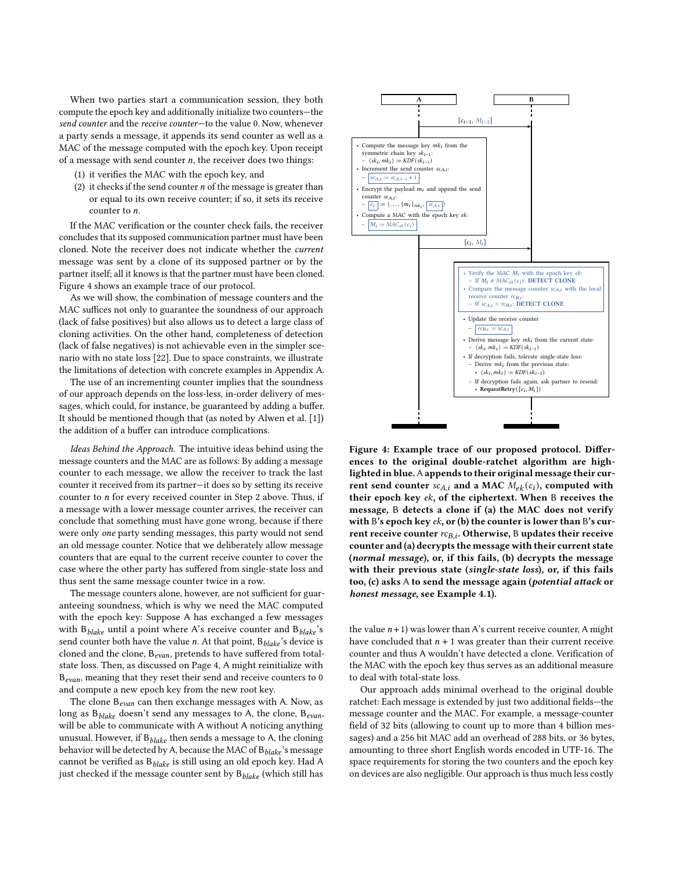When two parties start a communication session, they both compute the epoch key and additionally initialize two counters—the send counter and the receive counter—to the value 0. Now, whenever a party sends a message, it appends its send counter as well as a MAC of the message computed with the epoch key. Upon receipt of a message with send counter  $n$ , the receiver does two things:

- (1) it verifies the MAC with the epoch key, and
- <span id="page-9-1"></span>(2) it checks if the send counter  $n$  of the message is greater than or equal to its own receive counter; if so, it sets its receive counter to  $n$ .

If the MAC verification or the counter check fails, the receiver concludes that its supposed communication partner must have been cloned. Note the receiver does not indicate whether the current message was sent by a clone of its supposed partner or by the partner itself; all it knows is that the partner must have been cloned. Figure [4](#page-9-0) shows an example trace of our protocol.

As we will show, the combination of message counters and the MAC suffices not only to guarantee the soundness of our approach (lack of false positives) but also allows us to detect a large class of cloning activities. On the other hand, completeness of detection (lack of false negatives) is not achievable even in the simpler scenario with no state loss [\[22\]](#page-12-15). Due to space constraints, we illustrate the limitations of detection with concrete examples in Appendix [A.](#page-14-1)

The use of an incrementing counter implies that the soundness of our approach depends on the loss-less, in-order delivery of messages, which could, for instance, be guaranteed by adding a buffer. It should be mentioned though that (as noted by Alwen et al. [\[1\]](#page-11-0)) the addition of a buffer can introduce complications.

<span id="page-9-2"></span>Ideas Behind the Approach. The intuitive ideas behind using the message counters and the MAC are as follows: By adding a message counter to each message, we allow the receiver to track the last counter it received from its partner—it does so by setting its receive counter to  $n$  for every received counter in Step [2](#page-9-1) above. Thus, if a message with a lower message counter arrives, the receiver can conclude that something must have gone wrong, because if there were only one party sending messages, this party would not send an old message counter. Notice that we deliberately allow message counters that are equal to the current receive counter to cover the case where the other party has suffered from single-state loss and thus sent the same message counter twice in a row.

The message counters alone, however, are not sufficient for guaranteeing soundness, which is why we need the MAC computed with the epoch key: Suppose A has exchanged a few messages with  $B_{black}$  until a point where A's receive counter and  $B_{black}$ 's send counter both have the value  $n$ . At that point,  $B_{black}$ 's device is cloned and the clone,  $B_{evan}$ , pretends to have suffered from totalstate loss. Then, as discussed on Page [4,](#page-8-0) A might reinitialize with  $B_{evan}$ , meaning that they reset their send and receive counters to 0 and compute a new epoch key from the new root key.

The clone  $B_{evan}$  can then exchange messages with A. Now, as long as  $B_{black}$  doesn't send any messages to A, the clone,  $B_{evan}$ , will be able to communicate with A without A noticing anything unusual. However, if  $B_{black}$  then sends a message to A, the cloning behavior will be detected by A, because the MAC of  $B_{black}$ 's message cannot be verified as  $B_{black}$  is still using an old epoch key. Had A just checked if the message counter sent by  $B_{black}$  (which still has

<span id="page-9-0"></span>

Figure 4: Example trace of our proposed protocol. Differences to the original double-ratchet algorithm are highlighted in blue. A appends to their original message their current send counter  $sc_{A,i}$  and a MAC  $M_{ek}(c_i)$ , computed with their epoch key ek, of the ciphertext. When B receives the message, B detects a clone if (a) the MAC does not verify with B's epoch key  $ek$ , or (b) the counter is lower than B's current receive counter  $rc_{B,i}$ . Otherwise, B updates their receive counter and (a) decrypts the message with their current state (normal message), or, if this fails, (b) decrypts the message with their previous state (single-state loss), or, if this fails too, (c) asks A to send the message again (potential attack or honest message, see Example [4.1\)](#page-10-1).

the value  $n+1$ ) was lower than A's current receive counter, A might have concluded that  $n + 1$  was greater than their current receive counter and thus A wouldn't have detected a clone. Verification of the MAC with the epoch key thus serves as an additional measure to deal with total-state loss.

Our approach adds minimal overhead to the original double ratchet: Each message is extended by just two additional fields—the message counter and the MAC. For example, a message-counter field of 32 bits (allowing to count up to more than 4 billion messages) and a 256 bit MAC add an overhead of 288 bits, or 36 bytes, amounting to three short English words encoded in UTF-16. The space requirements for storing the two counters and the epoch key on devices are also negligible. Our approach is thus much less costly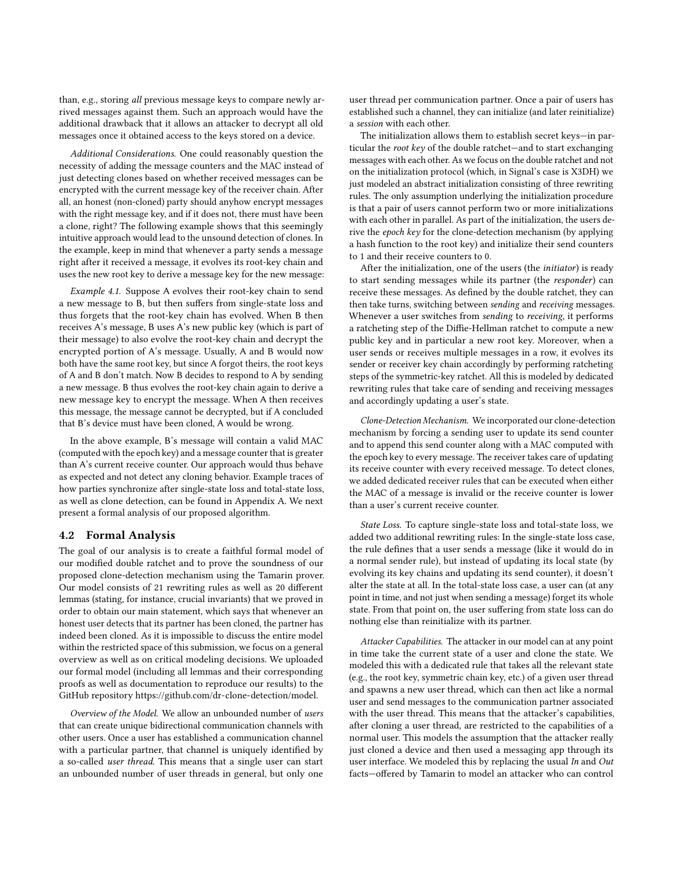than, e.g., storing all previous message keys to compare newly arrived messages against them. Such an approach would have the additional drawback that it allows an attacker to decrypt all old messages once it obtained access to the keys stored on a device.

Additional Considerations. One could reasonably question the necessity of adding the message counters and the MAC instead of just detecting clones based on whether received messages can be encrypted with the current message key of the receiver chain. After all, an honest (non-cloned) party should anyhow encrypt messages with the right message key, and if it does not, there must have been a clone, right? The following example shows that this seemingly intuitive approach would lead to the unsound detection of clones. In the example, keep in mind that whenever a party sends a message right after it received a message, it evolves its root-key chain and uses the new root key to derive a message key for the new message:

<span id="page-10-1"></span>Example 4.1. Suppose A evolves their root-key chain to send a new message to B, but then suffers from single-state loss and thus forgets that the root-key chain has evolved. When B then receives A's message, B uses A's new public key (which is part of their message) to also evolve the root-key chain and decrypt the encrypted portion of A's message. Usually, A and B would now both have the same root key, but since A forgot theirs, the root keys of A and B don't match. Now B decides to respond to A by sending a new message. B thus evolves the root-key chain again to derive a new message key to encrypt the message. When A then receives this message, the message cannot be decrypted, but if A concluded that B's device must have been cloned, A would be wrong.

In the above example, B's message will contain a valid MAC (computed with the epoch key) and a message counter that is greater than A's current receive counter. Our approach would thus behave as expected and not detect any cloning behavior. Example traces of how parties synchronize after single-state loss and total-state loss, as well as clone detection, can be found in Appendix [A.](#page-13-0) We next present a formal analysis of our proposed algorithm.

#### <span id="page-10-0"></span>4.2 Formal Analysis

The goal of our analysis is to create a faithful formal model of our modified double ratchet and to prove the soundness of our proposed clone-detection mechanism using the Tamarin prover. Our model consists of 21 rewriting rules as well as 20 different lemmas (stating, for instance, crucial invariants) that we proved in order to obtain our main statement, which says that whenever an honest user detects that its partner has been cloned, the partner has indeed been cloned. As it is impossible to discuss the entire model within the restricted space of this submission, we focus on a general overview as well as on critical modeling decisions. We uploaded our formal model (including all lemmas and their corresponding proofs as well as documentation to reproduce our results) to the GitHub repository [https://github.com/dr-clone-detection/model.](https://github.com/dr-clone-detection/model)

Overview of the Model. We allow an unbounded number of users that can create unique bidirectional communication channels with other users. Once a user has established a communication channel with a particular partner, that channel is uniquely identified by a so-called user thread. This means that a single user can start an unbounded number of user threads in general, but only one user thread per communication partner. Once a pair of users has established such a channel, they can initialize (and later reinitialize) a session with each other.

The initialization allows them to establish secret keys—in particular the root key of the double ratchet—and to start exchanging messages with each other. As we focus on the double ratchet and not on the initialization protocol (which, in Signal's case is X3DH) we just modeled an abstract initialization consisting of three rewriting rules. The only assumption underlying the initialization procedure is that a pair of users cannot perform two or more initializations with each other in parallel. As part of the initialization, the users derive the epoch key for the clone-detection mechanism (by applying a hash function to the root key) and initialize their send counters to 1 and their receive counters to 0.

After the initialization, one of the users (the initiator) is ready to start sending messages while its partner (the responder) can receive these messages. As defined by the double ratchet, they can then take turns, switching between sending and receiving messages. Whenever a user switches from sending to receiving, it performs a ratcheting step of the Diffie-Hellman ratchet to compute a new public key and in particular a new root key. Moreover, when a user sends or receives multiple messages in a row, it evolves its sender or receiver key chain accordingly by performing ratcheting steps of the symmetric-key ratchet. All this is modeled by dedicated rewriting rules that take care of sending and receiving messages and accordingly updating a user's state.

Clone-Detection Mechanism. We incorporated our clone-detection mechanism by forcing a sending user to update its send counter and to append this send counter along with a MAC computed with the epoch key to every message. The receiver takes care of updating its receive counter with every received message. To detect clones, we added dedicated receiver rules that can be executed when either the MAC of a message is invalid or the receive counter is lower than a user's current receive counter.

State Loss. To capture single-state loss and total-state loss, we added two additional rewriting rules: In the single-state loss case, the rule defines that a user sends a message (like it would do in a normal sender rule), but instead of updating its local state (by evolving its key chains and updating its send counter), it doesn't alter the state at all. In the total-state loss case, a user can (at any point in time, and not just when sending a message) forget its whole state. From that point on, the user suffering from state loss can do nothing else than reinitialize with its partner.

Attacker Capabilities. The attacker in our model can at any point in time take the current state of a user and clone the state. We modeled this with a dedicated rule that takes all the relevant state (e.g., the root key, symmetric chain key, etc.) of a given user thread and spawns a new user thread, which can then act like a normal user and send messages to the communication partner associated with the user thread. This means that the attacker's capabilities, after cloning a user thread, are restricted to the capabilities of a normal user. This models the assumption that the attacker really just cloned a device and then used a messaging app through its user interface. We modeled this by replacing the usual In and Out facts—offered by Tamarin to model an attacker who can control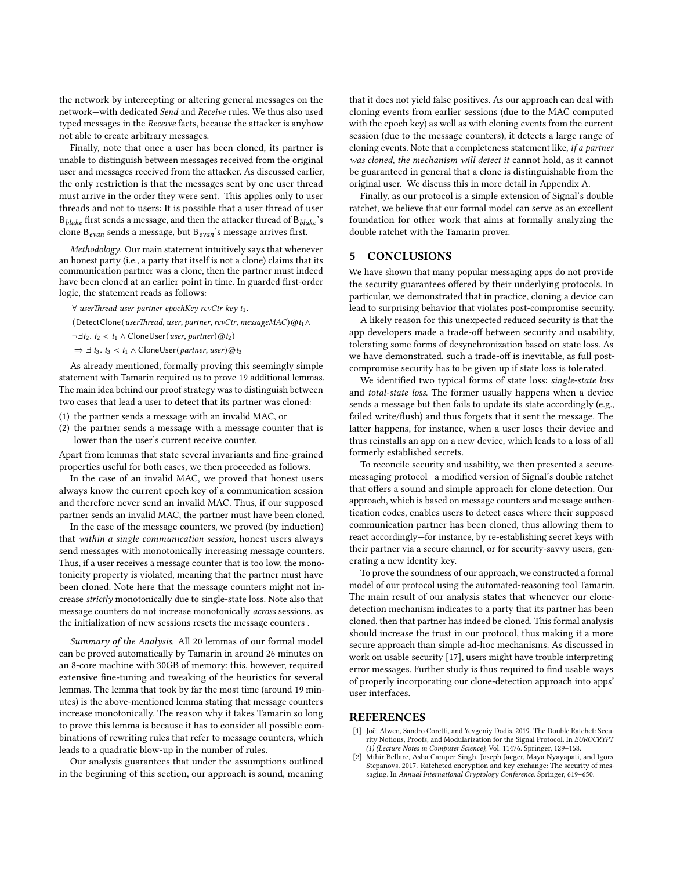the network by intercepting or altering general messages on the network—with dedicated Send and Receive rules. We thus also used typed messages in the Receive facts, because the attacker is anyhow not able to create arbitrary messages.

Finally, note that once a user has been cloned, its partner is unable to distinguish between messages received from the original user and messages received from the attacker. As discussed earlier, the only restriction is that the messages sent by one user thread must arrive in the order they were sent. This applies only to user threads and not to users: It is possible that a user thread of user  $B_{black}$  first sends a message, and then the attacker thread of  $B_{black}$ 's clone  $B_{evan}$  sends a message, but  $B_{evan}$ 's message arrives first.

Methodology. Our main statement intuitively says that whenever an honest party (i.e., a party that itself is not a clone) claims that its communication partner was a clone, then the partner must indeed have been cloned at an earlier point in time. In guarded first-order logic, the statement reads as follows:

∀ userThread user partner epochKey rcvCtr key t1.

(DetectClone(userThread, user, partner, rcvCtr, messageMAC)@t1∧

 $\neg \exists t_2. t_2 < t_1 \land \text{CloneUser}(user, partner) \textcircled{a} t_2)$ 

 $\Rightarrow \exists t_3. t_3 < t_1 \wedge$  CloneUser(partner, user)@t<sub>3</sub>

As already mentioned, formally proving this seemingly simple statement with Tamarin required us to prove 19 additional lemmas. The main idea behind our proof strategy was to distinguish between two cases that lead a user to detect that its partner was cloned:

- (1) the partner sends a message with an invalid MAC, or
- (2) the partner sends a message with a message counter that is lower than the user's current receive counter.

Apart from lemmas that state several invariants and fine-grained properties useful for both cases, we then proceeded as follows.

In the case of an invalid MAC, we proved that honest users always know the current epoch key of a communication session and therefore never send an invalid MAC. Thus, if our supposed partner sends an invalid MAC, the partner must have been cloned.

In the case of the message counters, we proved (by induction) that within a single communication session, honest users always send messages with monotonically increasing message counters. Thus, if a user receives a message counter that is too low, the monotonicity property is violated, meaning that the partner must have been cloned. Note here that the message counters might not increase strictly monotonically due to single-state loss. Note also that message counters do not increase monotonically across sessions, as the initialization of new sessions resets the message counters .

Summary of the Analysis. All 20 lemmas of our formal model can be proved automatically by Tamarin in around 26 minutes on an 8-core machine with 30GB of memory; this, however, required extensive fine-tuning and tweaking of the heuristics for several lemmas. The lemma that took by far the most time (around 19 minutes) is the above-mentioned lemma stating that message counters increase monotonically. The reason why it takes Tamarin so long to prove this lemma is because it has to consider all possible combinations of rewriting rules that refer to message counters, which leads to a quadratic blow-up in the number of rules.

Our analysis guarantees that under the assumptions outlined in the beginning of this section, our approach is sound, meaning that it does not yield false positives. As our approach can deal with cloning events from earlier sessions (due to the MAC computed with the epoch key) as well as with cloning events from the current session (due to the message counters), it detects a large range of cloning events. Note that a completeness statement like, if a partner was cloned, the mechanism will detect it cannot hold, as it cannot be guaranteed in general that a clone is distinguishable from the original user. We discuss this in more detail in Appendix [A.](#page-14-1)

Finally, as our protocol is a simple extension of Signal's double ratchet, we believe that our formal model can serve as an excellent foundation for other work that aims at formally analyzing the double ratchet with the Tamarin prover.

#### <span id="page-11-2"></span>5 CONCLUSIONS

We have shown that many popular messaging apps do not provide the security guarantees offered by their underlying protocols. In particular, we demonstrated that in practice, cloning a device can lead to surprising behavior that violates post-compromise security.

A likely reason for this unexpected reduced security is that the app developers made a trade-off between security and usability, tolerating some forms of desynchronization based on state loss. As we have demonstrated, such a trade-off is inevitable, as full postcompromise security has to be given up if state loss is tolerated.

We identified two typical forms of state loss: single-state loss and total-state loss. The former usually happens when a device sends a message but then fails to update its state accordingly (e.g., failed write/flush) and thus forgets that it sent the message. The latter happens, for instance, when a user loses their device and thus reinstalls an app on a new device, which leads to a loss of all formerly established secrets.

To reconcile security and usability, we then presented a securemessaging protocol—a modified version of Signal's double ratchet that offers a sound and simple approach for clone detection. Our approach, which is based on message counters and message authentication codes, enables users to detect cases where their supposed communication partner has been cloned, thus allowing them to react accordingly—for instance, by re-establishing secret keys with their partner via a secure channel, or for security-savvy users, generating a new identity key.

To prove the soundness of our approach, we constructed a formal model of our protocol using the automated-reasoning tool Tamarin. The main result of our analysis states that whenever our clonedetection mechanism indicates to a party that its partner has been cloned, then that partner has indeed be cloned. This formal analysis should increase the trust in our protocol, thus making it a more secure approach than simple ad-hoc mechanisms. As discussed in work on usable security [\[17\]](#page-12-26), users might have trouble interpreting error messages. Further study is thus required to find usable ways of properly incorporating our clone-detection approach into apps' user interfaces.

## REFERENCES

- <span id="page-11-0"></span>[1] Joël Alwen, Sandro Coretti, and Yevgeniy Dodis. 2019. The Double Ratchet: Security Notions, Proofs, and Modularization for the Signal Protocol. In EUROCRYPT (1) (Lecture Notes in Computer Science), Vol. 11476. Springer, 129–158.
- <span id="page-11-1"></span>[2] Mihir Bellare, Asha Camper Singh, Joseph Jaeger, Maya Nyayapati, and Igors Stepanovs. 2017. Ratcheted encryption and key exchange: The security of messaging. In Annual International Cryptology Conference. Springer, 619–650.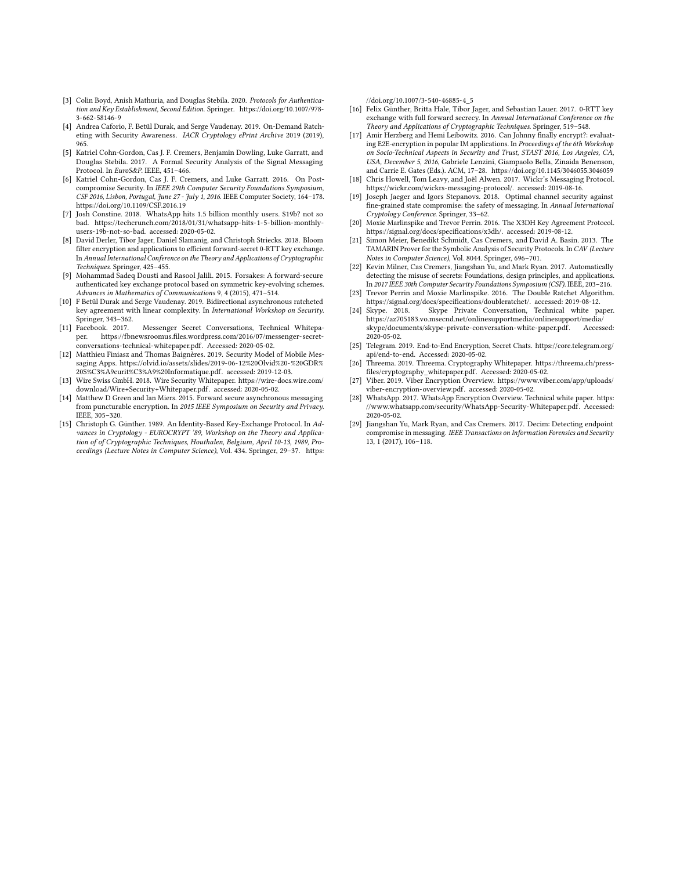- <span id="page-12-6"></span>[3] Colin Boyd, Anish Mathuria, and Douglas Stebila. 2020. Protocols for Authentication and Key Establishment, Second Edition. Springer. [https://doi.org/10.1007/978-](https://doi.org/10.1007/978-3-662-58146-9) [3-662-58146-9](https://doi.org/10.1007/978-3-662-58146-9)
- <span id="page-12-2"></span>[4] Andrea Caforio, F. Betül Durak, and Serge Vaudenay. 2019. On-Demand Ratcheting with Security Awareness. IACR Cryptology ePrint Archive 2019 (2019), 965.
- <span id="page-12-3"></span>[5] Katriel Cohn-Gordon, Cas J. F. Cremers, Benjamin Dowling, Luke Garratt, and Douglas Stebila. 2017. A Formal Security Analysis of the Signal Messaging Protocol. In EuroS&P. IEEE, 451–466.
- <span id="page-12-1"></span>[6] Katriel Cohn-Gordon, Cas J. F. Cremers, and Luke Garratt. 2016. On Postcompromise Security. In IEEE 29th Computer Security Foundations Symposium, CSF 2016, Lisbon, Portugal, June 27 - July 1, 2016. IEEE Computer Society, 164–178. <https://doi.org/10.1109/CSF.2016.19>
- <span id="page-12-25"></span>[7] Josh Constine. 2018. WhatsApp hits 1.5 billion monthly users. \$19b? not so bad. [https://techcrunch.com/2018/01/31/whatsapp-hits-1-5-billion-monthly](https://techcrunch.com/2018/01/31/whatsapp-hits-1-5-billion-monthly-users-19b-not-so-bad)[users-19b-not-so-bad.](https://techcrunch.com/2018/01/31/whatsapp-hits-1-5-billion-monthly-users-19b-not-so-bad) accessed: 2020-05-02.
- <span id="page-12-8"></span>[8] David Derler, Tibor Jager, Daniel Slamanig, and Christoph Striecks. 2018. Bloom filter encryption and applications to efficient forward-secret 0-RTT key exchange. In Annual International Conference on the Theory and Applications of Cryptographic Techniques. Springer, 425–455.
- <span id="page-12-11"></span>[9] Mohammad Sadeq Dousti and Rasool Jalili. 2015. Forsakes: A forward-secure authenticated key exchange protocol based on symmetric key-evolving schemes. Advances in Mathematics of Communications 9, 4 (2015), 471–514.
- <span id="page-12-4"></span>[10] F Betül Durak and Serge Vaudenay. 2019. Bidirectional asynchronous ratcheted key agreement with linear complexity. In International Workshop on Security. Springer, 343–362.<br>[11] Facebook. 2017.
- <span id="page-12-18"></span>Messenger Secret Conversations, Technical Whitepaper. [https://fbnewsroomus.files.wordpress.com/2016/07/messenger-secret](https://fbnewsroomus.files.wordpress.com/2016/07/messenger-secret-conversations-technical-whitepaper.pdf)[conversations-technical-whitepaper.pdf.](https://fbnewsroomus.files.wordpress.com/2016/07/messenger-secret-conversations-technical-whitepaper.pdf) Accessed: 2020-05-02.
- <span id="page-12-22"></span>[12] Matthieu Finiasz and Thomas Baignères. 2019. Security Model of Mobile Messaging Apps. [https://olvid.io/assets/slides/2019-06-12%20Olvid%20-%20GDR%](https://olvid.io/assets/slides/2019-06-12%20Olvid%20-%20GDR%20S%C3%A9curit%C3%A9%20Informatique.pdf) [20S%C3%A9curit%C3%A9%20Informatique.pdf.](https://olvid.io/assets/slides/2019-06-12%20Olvid%20-%20GDR%20S%C3%A9curit%C3%A9%20Informatique.pdf) accessed: 2019-12-03.
- <span id="page-12-21"></span>[13] Wire Swiss GmbH. 2018. Wire Security Whitepaper. [https://wire-docs.wire.com/](https://wire-docs.wire.com/download/Wire+Security+Whitepaper.pdf) [download/Wire+Security+Whitepaper.pdf.](https://wire-docs.wire.com/download/Wire+Security+Whitepaper.pdf) accessed: 2020-05-02.
- <span id="page-12-9"></span>[14] Matthew D Green and Ian Miers. 2015. Forward secure asynchronous messaging from puncturable encryption. In 2015 IEEE Symposium on Security and Privacy. IEEE, 305–320.
- <span id="page-12-7"></span>[15] Christoph G. Günther. 1989. An Identity-Based Key-Exchange Protocol. In Advances in Cryptology - EUROCRYPT '89, Workshop on the Theory and Application of of Cryptographic Techniques, Houthalen, Belgium, April 10-13, 1989, Proceedings (Lecture Notes in Computer Science), Vol. 434. Springer, 29–37. [https:](https://doi.org/10.1007/3-540-46885-4_5)

[//doi.org/10.1007/3-540-46885-4\\_5](https://doi.org/10.1007/3-540-46885-4_5)

- <span id="page-12-10"></span>[16] Felix Günther, Britta Hale, Tibor Jager, and Sebastian Lauer. 2017. 0-RTT key exchange with full forward secrecy. In Annual International Conference on the Theory and Applications of Cryptographic Techniques. Springer, 519–548.
- <span id="page-12-26"></span>[17] Amir Herzberg and Hemi Leibowitz. 2016. Can Johnny finally encrypt?: evaluating E2E-encryption in popular IM applications. In Proceedings of the 6th Workshop on Socio-Technical Aspects in Security and Trust, STAST 2016, Los Angeles, CA, USA, December 5, 2016, Gabriele Lenzini, Giampaolo Bella, Zinaida Benenson, and Carrie E. Gates (Eds.). ACM, 17–28.<https://doi.org/10.1145/3046055.3046059>
- <span id="page-12-13"></span>[18] Chris Howell, Tom Leavy, and Joël Alwen. 2017. Wickr's Messaging Protocol. [https://wickr.com/wickrs-messaging-protocol/.](https://wickr.com/wickrs-messaging-protocol/) accessed: 2019-08-16.
- <span id="page-12-5"></span>Joseph Jaeger and Igors Stepanovs. 2018. Optimal channel security against fine-grained state compromise: the safety of messaging. In Annual International Cryptology Conference. Springer, 33–62.
- <span id="page-12-12"></span>[20] Moxie Marlinspike and Trevor Perrin. 2016. The X3DH Key Agreement Protocol. [https://signal.org/docs/specifications/x3dh/.](https://signal.org/docs/specifications/x3dh/) accessed: 2019-08-12.
- <span id="page-12-16"></span>[21] Simon Meier, Benedikt Schmidt, Cas Cremers, and David A. Basin. 2013. The TAMARIN Prover for the Symbolic Analysis of Security Protocols. In CAV (Lecture Notes in Computer Science), Vol. 8044. Springer, 696–701.
- <span id="page-12-15"></span>[22] Kevin Milner, Cas Cremers, Jiangshan Yu, and Mark Ryan. 2017. Automatically detecting the misuse of secrets: Foundations, design principles, and applications. In 2017 IEEE 30th Computer Security Foundations Symposium (CSF). IEEE, 203–216.
- <span id="page-12-0"></span>[23] Trevor Perrin and Moxie Marlinspike. 2016. The Double Ratchet Algorithm. [https://signal.org/docs/specifications/doubleratchet/.](https://signal.org/docs/specifications/doubleratchet/) accessed: 2019-08-12.
- <span id="page-12-19"></span>[24] Skype. 2018. Skype Private Conversation, Technical white paper. [https://az705183.vo.msecnd.net/onlinesupportmedia/onlinesupport/media/](https://az705183.vo.msecnd.net/onlinesupportmedia/onlinesupport/media/skype/documents/skype-private-conversation-white-paper.pdf) [skype/documents/skype-private-conversation-white-paper.pdf.](https://az705183.vo.msecnd.net/onlinesupportmedia/onlinesupport/media/skype/documents/skype-private-conversation-white-paper.pdf) Accessed: 2020-05-02.
- <span id="page-12-24"></span>[25] Telegram. 2019. End-to-End Encryption, Secret Chats. [https://core.telegram.org/](https://core.telegram.org/api/end-to-end) [api/end-to-end.](https://core.telegram.org/api/end-to-end) Accessed: 2020-05-02.
- <span id="page-12-23"></span>[26] Threema. 2019. Threema. Cryptography Whitepaper. [https://threema.ch/press](https://threema.ch/press-files/cryptography_whitepaper.pdf)[files/cryptography\\_whitepaper.pdf.](https://threema.ch/press-files/cryptography_whitepaper.pdf) Accessed: 2020-05-02.
- <span id="page-12-20"></span>[27] Viber. 2019. Viber Encryption Overview. [https://www.viber.com/app/uploads/](https://www.viber.com/app/uploads/viber-encryption-overview.pdf) [viber-encryption-overview.pdf.](https://www.viber.com/app/uploads/viber-encryption-overview.pdf) accessed: 2020-05-02.
- <span id="page-12-17"></span>[28] WhatsApp. 2017. WhatsApp Encryption Overview. Technical white paper. [https:](https://www.whatsapp.com/security/WhatsApp-Security-Whitepaper.pdf) [//www.whatsapp.com/security/WhatsApp-Security-Whitepaper.pdf.](https://www.whatsapp.com/security/WhatsApp-Security-Whitepaper.pdf) Accessed: 2020-05-02.
- <span id="page-12-14"></span>[29] Jiangshan Yu, Mark Ryan, and Cas Cremers. 2017. Decim: Detecting endpoint compromise in messaging. IEEE Transactions on Information Forensics and Security 13, 1 (2017), 106–118.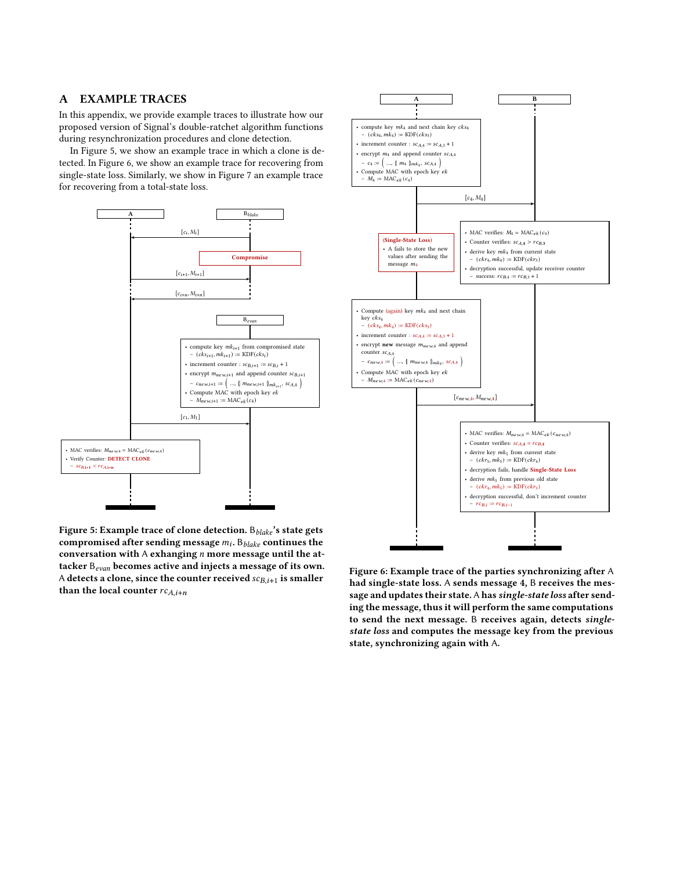## <span id="page-13-0"></span>A EXAMPLE TRACES

In this appendix, we provide example traces to illustrate how our proposed version of Signal's double-ratchet algorithm functions during resynchronization procedures and clone detection.

In Figure [5,](#page-13-1) we show an example trace in which a clone is detected. In Figure [6,](#page-13-2) we show an example trace for recovering from single-state loss. Similarly, we show in Figure [7](#page-14-2) an example trace for recovering from a total-state loss.

<span id="page-13-1"></span>

<span id="page-13-2"></span>

Figure 5: Example trace of clone detection.  $B_{black}$ 's state gets compromised after sending message  $m_i$ .  $\mathbf{B}_{\textit{black}}$  continues the conversation with  $A$  exhanging  $n$  more message until the attacker  $B_{evan}$  becomes active and injects a message of its own. A detects a clone, since the counter received  $sc_{B,i+1}$  is smaller than the local counter  $rc_{A,i+n}$ 

Figure 6: Example trace of the parties synchronizing after A had single-state loss. A sends message 4, B receives the message and updates their state. A has single-state loss after sending the message, thus it will perform the same computations to send the next message. B receives again, detects singlestate loss and computes the message key from the previous state, synchronizing again with A.